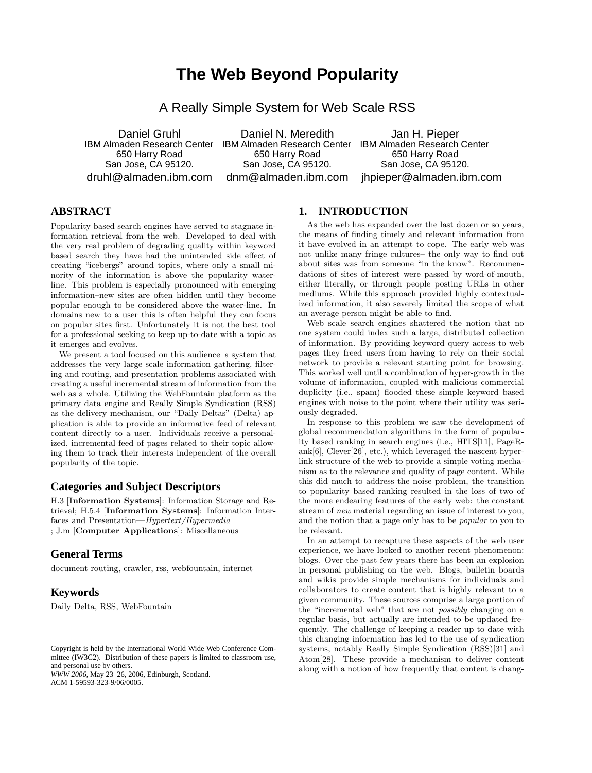# **The Web Beyond Popularity**

A Really Simple System for Web Scale RSS

Daniel Gruhl IBM Almaden Research Center 650 Harry Road San Jose, CA 95120. druhl@almaden.ibm.com

Daniel N. Meredith IBM Almaden Research Center 650 Harry Road San Jose, CA 95120. dnm@almaden.ibm.com

Jan H. Pieper IBM Almaden Research Center 650 Harry Road San Jose, CA 95120. jhpieper@almaden.ibm.com

# **ABSTRACT**

Popularity based search engines have served to stagnate information retrieval from the web. Developed to deal with the very real problem of degrading quality within keyword based search they have had the unintended side effect of creating "icebergs" around topics, where only a small minority of the information is above the popularity waterline. This problem is especially pronounced with emerging information–new sites are often hidden until they become popular enough to be considered above the water-line. In domains new to a user this is often helpful–they can focus on popular sites first. Unfortunately it is not the best tool for a professional seeking to keep up-to-date with a topic as it emerges and evolves.

We present a tool focused on this audience–a system that addresses the very large scale information gathering, filtering and routing, and presentation problems associated with creating a useful incremental stream of information from the web as a whole. Utilizing the WebFountain platform as the primary data engine and Really Simple Syndication (RSS) as the delivery mechanism, our "Daily Deltas" (Delta) application is able to provide an informative feed of relevant content directly to a user. Individuals receive a personalized, incremental feed of pages related to their topic allowing them to track their interests independent of the overall popularity of the topic.

## **Categories and Subject Descriptors**

H.3 [Information Systems]: Information Storage and Retrieval; H.5.4 [Information Systems]: Information Interfaces and Presentation—Hypertext/Hypermedia ; J.m [Computer Applications]: Miscellaneous

# **General Terms**

document routing, crawler, rss, webfountain, internet

## **Keywords**

Daily Delta, RSS, WebFountain

ACM 1-59593-323-9/06/0005.

# **1. INTRODUCTION**

As the web has expanded over the last dozen or so years, the means of finding timely and relevant information from it have evolved in an attempt to cope. The early web was not unlike many fringe cultures– the only way to find out about sites was from someone "in the know". Recommendations of sites of interest were passed by word-of-mouth, either literally, or through people posting URLs in other mediums. While this approach provided highly contextualized information, it also severely limited the scope of what an average person might be able to find.

Web scale search engines shattered the notion that no one system could index such a large, distributed collection of information. By providing keyword query access to web pages they freed users from having to rely on their social network to provide a relevant starting point for browsing. This worked well until a combination of hyper-growth in the volume of information, coupled with malicious commercial duplicity (i.e., spam) flooded these simple keyword based engines with noise to the point where their utility was seriously degraded.

In response to this problem we saw the development of global recommendation algorithms in the form of popularity based ranking in search engines (i.e., HITS[11], PageRank[6], Clever[26], etc.), which leveraged the nascent hyperlink structure of the web to provide a simple voting mechanism as to the relevance and quality of page content. While this did much to address the noise problem, the transition to popularity based ranking resulted in the loss of two of the more endearing features of the early web: the constant stream of new material regarding an issue of interest to you, and the notion that a page only has to be popular to you to be relevant.

In an attempt to recapture these aspects of the web user experience, we have looked to another recent phenomenon: blogs. Over the past few years there has been an explosion in personal publishing on the web. Blogs, bulletin boards and wikis provide simple mechanisms for individuals and collaborators to create content that is highly relevant to a given community. These sources comprise a large portion of the "incremental web" that are not possibly changing on a regular basis, but actually are intended to be updated frequently. The challenge of keeping a reader up to date with this changing information has led to the use of syndication systems, notably Really Simple Syndication (RSS)[31] and Atom[28]. These provide a mechanism to deliver content along with a notion of how frequently that content is chang-

Copyright is held by the International World Wide Web Conference Committee (IW3C2). Distribution of these papers is limited to classroom use, and personal use by others. *WWW 2006*, May 23–26, 2006, Edinburgh, Scotland.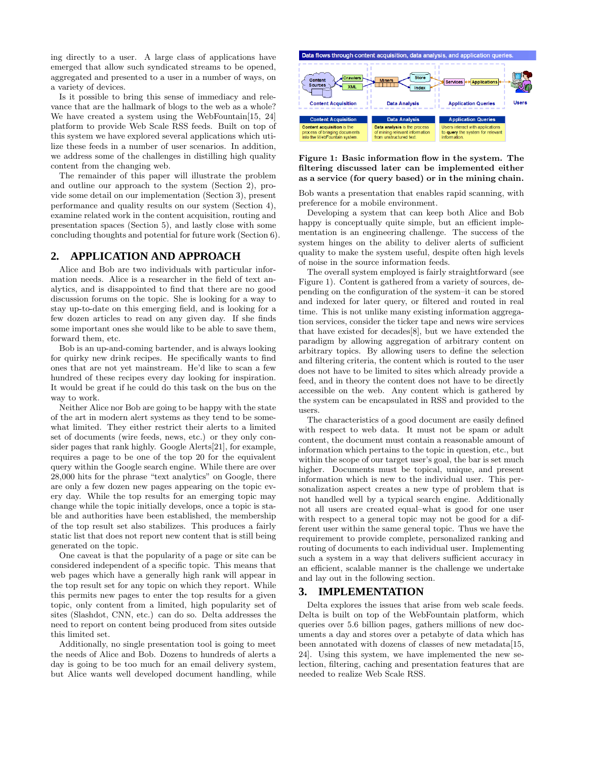ing directly to a user. A large class of applications have emerged that allow such syndicated streams to be opened, aggregated and presented to a user in a number of ways, on a variety of devices.

Is it possible to bring this sense of immediacy and relevance that are the hallmark of blogs to the web as a whole? We have created a system using the WebFountain[15, 24] platform to provide Web Scale RSS feeds. Built on top of this system we have explored several applications which utilize these feeds in a number of user scenarios. In addition, we address some of the challenges in distilling high quality content from the changing web.

The remainder of this paper will illustrate the problem and outline our approach to the system (Section 2), provide some detail on our implementation (Section 3), present performance and quality results on our system (Section 4), examine related work in the content acquisition, routing and presentation spaces (Section 5), and lastly close with some concluding thoughts and potential for future work (Section 6).

# **2. APPLICATION AND APPROACH**

Alice and Bob are two individuals with particular information needs. Alice is a researcher in the field of text analytics, and is disappointed to find that there are no good discussion forums on the topic. She is looking for a way to stay up-to-date on this emerging field, and is looking for a few dozen articles to read on any given day. If she finds some important ones she would like to be able to save them, forward them, etc.

Bob is an up-and-coming bartender, and is always looking for quirky new drink recipes. He specifically wants to find ones that are not yet mainstream. He'd like to scan a few hundred of these recipes every day looking for inspiration. It would be great if he could do this task on the bus on the way to work.

Neither Alice nor Bob are going to be happy with the state of the art in modern alert systems as they tend to be somewhat limited. They either restrict their alerts to a limited set of documents (wire feeds, news, etc.) or they only consider pages that rank highly. Google Alerts[21], for example, requires a page to be one of the top 20 for the equivalent query within the Google search engine. While there are over 28,000 hits for the phrase "text analytics" on Google, there are only a few dozen new pages appearing on the topic every day. While the top results for an emerging topic may change while the topic initially develops, once a topic is stable and authorities have been established, the membership of the top result set also stabilizes. This produces a fairly static list that does not report new content that is still being generated on the topic.

One caveat is that the popularity of a page or site can be considered independent of a specific topic. This means that web pages which have a generally high rank will appear in the top result set for any topic on which they report. While this permits new pages to enter the top results for a given topic, only content from a limited, high popularity set of sites (Slashdot, CNN, etc.) can do so. Delta addresses the need to report on content being produced from sites outside this limited set.

Additionally, no single presentation tool is going to meet the needs of Alice and Bob. Dozens to hundreds of alerts a day is going to be too much for an email delivery system, but Alice wants well developed document handling, while



#### Figure 1: Basic information flow in the system. The filtering discussed later can be implemented either as a service (for query based) or in the mining chain.

Bob wants a presentation that enables rapid scanning, with preference for a mobile environment.

Developing a system that can keep both Alice and Bob happy is conceptually quite simple, but an efficient implementation is an engineering challenge. The success of the system hinges on the ability to deliver alerts of sufficient quality to make the system useful, despite often high levels of noise in the source information feeds.

The overall system employed is fairly straightforward (see Figure 1). Content is gathered from a variety of sources, depending on the configuration of the system–it can be stored and indexed for later query, or filtered and routed in real time. This is not unlike many existing information aggregation services, consider the ticker tape and news wire services that have existed for decades[8], but we have extended the paradigm by allowing aggregation of arbitrary content on arbitrary topics. By allowing users to define the selection and filtering criteria, the content which is routed to the user does not have to be limited to sites which already provide a feed, and in theory the content does not have to be directly accessible on the web. Any content which is gathered by the system can be encapsulated in RSS and provided to the users.

The characteristics of a good document are easily defined with respect to web data. It must not be spam or adult content, the document must contain a reasonable amount of information which pertains to the topic in question, etc., but within the scope of our target user's goal, the bar is set much higher. Documents must be topical, unique, and present information which is new to the individual user. This personalization aspect creates a new type of problem that is not handled well by a typical search engine. Additionally not all users are created equal–what is good for one user with respect to a general topic may not be good for a different user within the same general topic. Thus we have the requirement to provide complete, personalized ranking and routing of documents to each individual user. Implementing such a system in a way that delivers sufficient accuracy in an efficient, scalable manner is the challenge we undertake and lay out in the following section.

## **3. IMPLEMENTATION**

Delta explores the issues that arise from web scale feeds. Delta is built on top of the WebFountain platform, which queries over 5.6 billion pages, gathers millions of new documents a day and stores over a petabyte of data which has been annotated with dozens of classes of new metadata[15, 24]. Using this system, we have implemented the new selection, filtering, caching and presentation features that are needed to realize Web Scale RSS.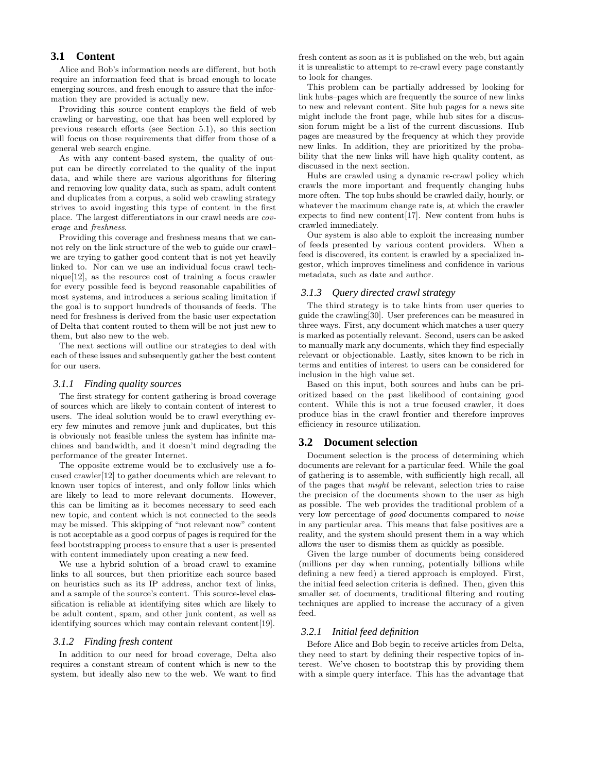# **3.1 Content**

Alice and Bob's information needs are different, but both require an information feed that is broad enough to locate emerging sources, and fresh enough to assure that the information they are provided is actually new.

Providing this source content employs the field of web crawling or harvesting, one that has been well explored by previous research efforts (see Section 5.1), so this section will focus on those requirements that differ from those of a general web search engine.

As with any content-based system, the quality of output can be directly correlated to the quality of the input data, and while there are various algorithms for filtering and removing low quality data, such as spam, adult content and duplicates from a corpus, a solid web crawling strategy strives to avoid ingesting this type of content in the first place. The largest differentiators in our crawl needs are coverage and freshness.

Providing this coverage and freshness means that we cannot rely on the link structure of the web to guide our crawl– we are trying to gather good content that is not yet heavily linked to. Nor can we use an individual focus crawl technique[12], as the resource cost of training a focus crawler for every possible feed is beyond reasonable capabilities of most systems, and introduces a serious scaling limitation if the goal is to support hundreds of thousands of feeds. The need for freshness is derived from the basic user expectation of Delta that content routed to them will be not just new to them, but also new to the web.

The next sections will outline our strategies to deal with each of these issues and subsequently gather the best content for our users.

#### *3.1.1 Finding quality sources*

The first strategy for content gathering is broad coverage of sources which are likely to contain content of interest to users. The ideal solution would be to crawl everything every few minutes and remove junk and duplicates, but this is obviously not feasible unless the system has infinite machines and bandwidth, and it doesn't mind degrading the performance of the greater Internet.

The opposite extreme would be to exclusively use a focused crawler[12] to gather documents which are relevant to known user topics of interest, and only follow links which are likely to lead to more relevant documents. However, this can be limiting as it becomes necessary to seed each new topic, and content which is not connected to the seeds may be missed. This skipping of "not relevant now" content is not acceptable as a good corpus of pages is required for the feed bootstrapping process to ensure that a user is presented with content immediately upon creating a new feed.

We use a hybrid solution of a broad crawl to examine links to all sources, but then prioritize each source based on heuristics such as its IP address, anchor text of links, and a sample of the source's content. This source-level classification is reliable at identifying sites which are likely to be adult content, spam, and other junk content, as well as identifying sources which may contain relevant content[19].

## *3.1.2 Finding fresh content*

In addition to our need for broad coverage, Delta also requires a constant stream of content which is new to the system, but ideally also new to the web. We want to find fresh content as soon as it is published on the web, but again it is unrealistic to attempt to re-crawl every page constantly to look for changes.

This problem can be partially addressed by looking for link hubs–pages which are frequently the source of new links to new and relevant content. Site hub pages for a news site might include the front page, while hub sites for a discussion forum might be a list of the current discussions. Hub pages are measured by the frequency at which they provide new links. In addition, they are prioritized by the probability that the new links will have high quality content, as discussed in the next section.

Hubs are crawled using a dynamic re-crawl policy which crawls the more important and frequently changing hubs more often. The top hubs should be crawled daily, hourly, or whatever the maximum change rate is, at which the crawler expects to find new content[17]. New content from hubs is crawled immediately.

Our system is also able to exploit the increasing number of feeds presented by various content providers. When a feed is discovered, its content is crawled by a specialized ingestor, which improves timeliness and confidence in various metadata, such as date and author.

## *3.1.3 Query directed crawl strategy*

The third strategy is to take hints from user queries to guide the crawling[30]. User preferences can be measured in three ways. First, any document which matches a user query is marked as potentially relevant. Second, users can be asked to manually mark any documents, which they find especially relevant or objectionable. Lastly, sites known to be rich in terms and entities of interest to users can be considered for inclusion in the high value set.

Based on this input, both sources and hubs can be prioritized based on the past likelihood of containing good content. While this is not a true focused crawler, it does produce bias in the crawl frontier and therefore improves efficiency in resource utilization.

#### **3.2 Document selection**

Document selection is the process of determining which documents are relevant for a particular feed. While the goal of gathering is to assemble, with sufficiently high recall, all of the pages that might be relevant, selection tries to raise the precision of the documents shown to the user as high as possible. The web provides the traditional problem of a very low percentage of good documents compared to noise in any particular area. This means that false positives are a reality, and the system should present them in a way which allows the user to dismiss them as quickly as possible.

Given the large number of documents being considered (millions per day when running, potentially billions while defining a new feed) a tiered approach is employed. First, the initial feed selection criteria is defined. Then, given this smaller set of documents, traditional filtering and routing techniques are applied to increase the accuracy of a given feed.

## *3.2.1 Initial feed definition*

Before Alice and Bob begin to receive articles from Delta, they need to start by defining their respective topics of interest. We've chosen to bootstrap this by providing them with a simple query interface. This has the advantage that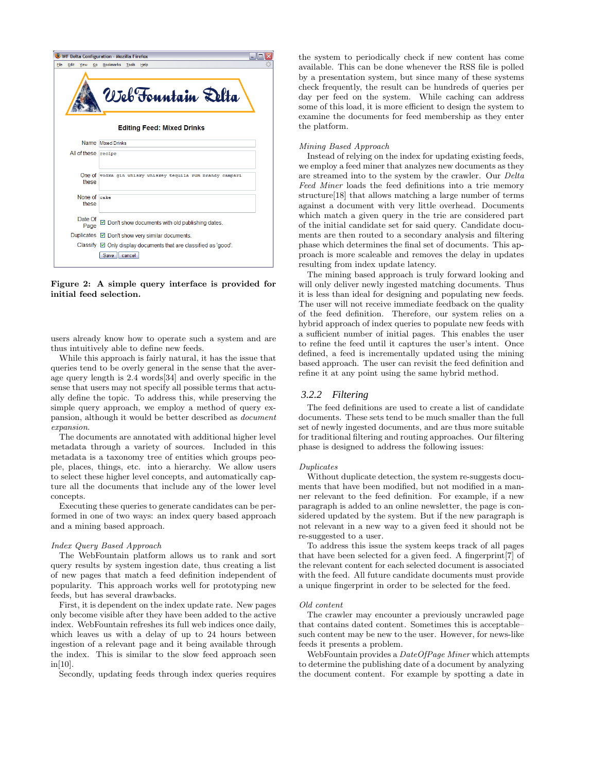

Figure 2: A simple query interface is provided for initial feed selection.

users already know how to operate such a system and are thus intuitively able to define new feeds.

While this approach is fairly natural, it has the issue that queries tend to be overly general in the sense that the average query length is 2.4 words[34] and overly specific in the sense that users may not specify all possible terms that actually define the topic. To address this, while preserving the simple query approach, we employ a method of query expansion, although it would be better described as document expansion.

The documents are annotated with additional higher level metadata through a variety of sources. Included in this metadata is a taxonomy tree of entities which groups people, places, things, etc. into a hierarchy. We allow users to select these higher level concepts, and automatically capture all the documents that include any of the lower level concepts.

Executing these queries to generate candidates can be performed in one of two ways: an index query based approach and a mining based approach.

#### Index Query Based Approach

The WebFountain platform allows us to rank and sort query results by system ingestion date, thus creating a list of new pages that match a feed definition independent of popularity. This approach works well for prototyping new feeds, but has several drawbacks.

First, it is dependent on the index update rate. New pages only become visible after they have been added to the active index. WebFountain refreshes its full web indices once daily, which leaves us with a delay of up to 24 hours between ingestion of a relevant page and it being available through the index. This is similar to the slow feed approach seen in[10].

Secondly, updating feeds through index queries requires

the system to periodically check if new content has come available. This can be done whenever the RSS file is polled by a presentation system, but since many of these systems check frequently, the result can be hundreds of queries per day per feed on the system. While caching can address some of this load, it is more efficient to design the system to examine the documents for feed membership as they enter the platform.

#### Mining Based Approach

Instead of relying on the index for updating existing feeds, we employ a feed miner that analyzes new documents as they are streamed into to the system by the crawler. Our Delta Feed Miner loads the feed definitions into a trie memory structure[18] that allows matching a large number of terms against a document with very little overhead. Documents which match a given query in the trie are considered part of the initial candidate set for said query. Candidate documents are then routed to a secondary analysis and filtering phase which determines the final set of documents. This approach is more scaleable and removes the delay in updates resulting from index update latency.

The mining based approach is truly forward looking and will only deliver newly ingested matching documents. Thus it is less than ideal for designing and populating new feeds. The user will not receive immediate feedback on the quality of the feed definition. Therefore, our system relies on a hybrid approach of index queries to populate new feeds with a sufficient number of initial pages. This enables the user to refine the feed until it captures the user's intent. Once defined, a feed is incrementally updated using the mining based approach. The user can revisit the feed definition and refine it at any point using the same hybrid method.

## *3.2.2 Filtering*

The feed definitions are used to create a list of candidate documents. These sets tend to be much smaller than the full set of newly ingested documents, and are thus more suitable for traditional filtering and routing approaches. Our filtering phase is designed to address the following issues:

#### Duplicates

Without duplicate detection, the system re-suggests documents that have been modified, but not modified in a manner relevant to the feed definition. For example, if a new paragraph is added to an online newsletter, the page is considered updated by the system. But if the new paragraph is not relevant in a new way to a given feed it should not be re-suggested to a user.

To address this issue the system keeps track of all pages that have been selected for a given feed. A fingerprint[7] of the relevant content for each selected document is associated with the feed. All future candidate documents must provide a unique fingerprint in order to be selected for the feed.

#### Old content

The crawler may encounter a previously uncrawled page that contains dated content. Sometimes this is acceptable– such content may be new to the user. However, for news-like feeds it presents a problem.

WebFountain provides a *DateOfPage Miner* which attempts to determine the publishing date of a document by analyzing the document content. For example by spotting a date in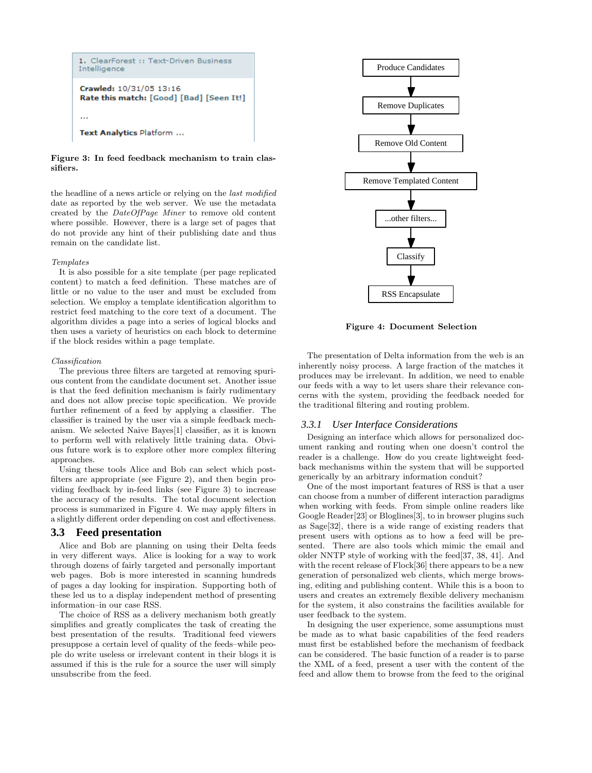

Figure 3: In feed feedback mechanism to train classifiers.

the headline of a news article or relying on the last modified date as reported by the web server. We use the metadata created by the DateOfPage Miner to remove old content where possible. However, there is a large set of pages that do not provide any hint of their publishing date and thus remain on the candidate list.

#### Templates

It is also possible for a site template (per page replicated content) to match a feed definition. These matches are of little or no value to the user and must be excluded from selection. We employ a template identification algorithm to restrict feed matching to the core text of a document. The algorithm divides a page into a series of logical blocks and then uses a variety of heuristics on each block to determine if the block resides within a page template.

#### Classification

The previous three filters are targeted at removing spurious content from the candidate document set. Another issue is that the feed definition mechanism is fairly rudimentary and does not allow precise topic specification. We provide further refinement of a feed by applying a classifier. The classifier is trained by the user via a simple feedback mechanism. We selected Naive Bayes[1] classifier, as it is known to perform well with relatively little training data. Obvious future work is to explore other more complex filtering approaches.

Using these tools Alice and Bob can select which postfilters are appropriate (see Figure 2), and then begin providing feedback by in-feed links (see Figure 3) to increase the accuracy of the results. The total document selection process is summarized in Figure 4. We may apply filters in a slightly different order depending on cost and effectiveness.

## **3.3 Feed presentation**

Alice and Bob are planning on using their Delta feeds in very different ways. Alice is looking for a way to work through dozens of fairly targeted and personally important web pages. Bob is more interested in scanning hundreds of pages a day looking for inspiration. Supporting both of these led us to a display independent method of presenting information–in our case RSS.

The choice of RSS as a delivery mechanism both greatly simplifies and greatly complicates the task of creating the best presentation of the results. Traditional feed viewers presuppose a certain level of quality of the feeds–while people do write useless or irrelevant content in their blogs it is assumed if this is the rule for a source the user will simply unsubscribe from the feed.



Figure 4: Document Selection

The presentation of Delta information from the web is an inherently noisy process. A large fraction of the matches it produces may be irrelevant. In addition, we need to enable our feeds with a way to let users share their relevance concerns with the system, providing the feedback needed for the traditional filtering and routing problem.

#### *3.3.1 User Interface Considerations*

Designing an interface which allows for personalized document ranking and routing when one doesn't control the reader is a challenge. How do you create lightweight feedback mechanisms within the system that will be supported generically by an arbitrary information conduit?

One of the most important features of RSS is that a user can choose from a number of different interaction paradigms when working with feeds. From simple online readers like Google Reader[23] or Bloglines[3], to in browser plugins such as Sage[32], there is a wide range of existing readers that present users with options as to how a feed will be presented. There are also tools which mimic the email and older NNTP style of working with the feed[37, 38, 41]. And with the recent release of Flock[36] there appears to be a new generation of personalized web clients, which merge browsing, editing and publishing content. While this is a boon to users and creates an extremely flexible delivery mechanism for the system, it also constrains the facilities available for user feedback to the system.

In designing the user experience, some assumptions must be made as to what basic capabilities of the feed readers must first be established before the mechanism of feedback can be considered. The basic function of a reader is to parse the XML of a feed, present a user with the content of the feed and allow them to browse from the feed to the original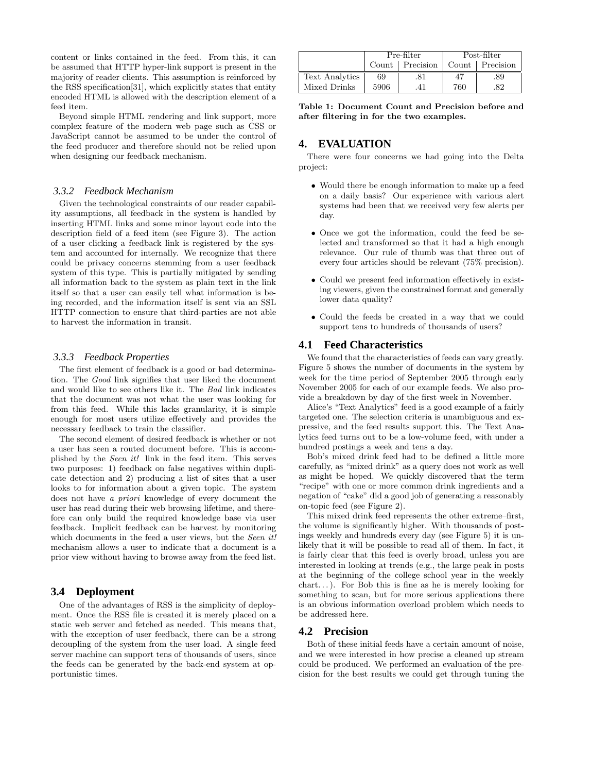content or links contained in the feed. From this, it can be assumed that HTTP hyper-link support is present in the majority of reader clients. This assumption is reinforced by the RSS specification[31], which explicitly states that entity encoded HTML is allowed with the description element of a feed item.

Beyond simple HTML rendering and link support, more complex feature of the modern web page such as CSS or JavaScript cannot be assumed to be under the control of the feed producer and therefore should not be relied upon when designing our feedback mechanism.

## *3.3.2 Feedback Mechanism*

Given the technological constraints of our reader capability assumptions, all feedback in the system is handled by inserting HTML links and some minor layout code into the description field of a feed item (see Figure 3). The action of a user clicking a feedback link is registered by the system and accounted for internally. We recognize that there could be privacy concerns stemming from a user feedback system of this type. This is partially mitigated by sending all information back to the system as plain text in the link itself so that a user can easily tell what information is being recorded, and the information itself is sent via an SSL HTTP connection to ensure that third-parties are not able to harvest the information in transit.

#### *3.3.3 Feedback Properties*

The first element of feedback is a good or bad determination. The Good link signifies that user liked the document and would like to see others like it. The Bad link indicates that the document was not what the user was looking for from this feed. While this lacks granularity, it is simple enough for most users utilize effectively and provides the necessary feedback to train the classifier.

The second element of desired feedback is whether or not a user has seen a routed document before. This is accomplished by the Seen it! link in the feed item. This serves two purposes: 1) feedback on false negatives within duplicate detection and 2) producing a list of sites that a user looks to for information about a given topic. The system does not have a priori knowledge of every document the user has read during their web browsing lifetime, and therefore can only build the required knowledge base via user feedback. Implicit feedback can be harvest by monitoring which documents in the feed a user views, but the Seen it! mechanism allows a user to indicate that a document is a prior view without having to browse away from the feed list.

## **3.4 Deployment**

One of the advantages of RSS is the simplicity of deployment. Once the RSS file is created it is merely placed on a static web server and fetched as needed. This means that, with the exception of user feedback, there can be a strong decoupling of the system from the user load. A single feed server machine can support tens of thousands of users, since the feeds can be generated by the back-end system at opportunistic times.

|                | Pre-filter |           | Post-filter |           |
|----------------|------------|-----------|-------------|-----------|
|                | Count      | Precision | Count       | Precision |
| Text Analytics | 69         |           | 47          | .89       |
| Mixed Drinks   | 5906       | 41        | 760         | 82        |

Table 1: Document Count and Precision before and after filtering in for the two examples.

# **4. EVALUATION**

There were four concerns we had going into the Delta project:

- Would there be enough information to make up a feed on a daily basis? Our experience with various alert systems had been that we received very few alerts per day.
- Once we got the information, could the feed be selected and transformed so that it had a high enough relevance. Our rule of thumb was that three out of every four articles should be relevant (75% precision).
- Could we present feed information effectively in existing viewers, given the constrained format and generally lower data quality?
- Could the feeds be created in a way that we could support tens to hundreds of thousands of users?

## **4.1 Feed Characteristics**

We found that the characteristics of feeds can vary greatly. Figure 5 shows the number of documents in the system by week for the time period of September 2005 through early November 2005 for each of our example feeds. We also provide a breakdown by day of the first week in November.

Alice's "Text Analytics" feed is a good example of a fairly targeted one. The selection criteria is unambiguous and expressive, and the feed results support this. The Text Analytics feed turns out to be a low-volume feed, with under a hundred postings a week and tens a day.

Bob's mixed drink feed had to be defined a little more carefully, as "mixed drink" as a query does not work as well as might be hoped. We quickly discovered that the term "recipe" with one or more common drink ingredients and a negation of "cake" did a good job of generating a reasonably on-topic feed (see Figure 2).

This mixed drink feed represents the other extreme–first, the volume is significantly higher. With thousands of postings weekly and hundreds every day (see Figure 5) it is unlikely that it will be possible to read all of them. In fact, it is fairly clear that this feed is overly broad, unless you are interested in looking at trends (e.g., the large peak in posts at the beginning of the college school year in the weekly  $chart...$ ). For Bob this is fine as he is merely looking for something to scan, but for more serious applications there is an obvious information overload problem which needs to be addressed here.

## **4.2 Precision**

Both of these initial feeds have a certain amount of noise, and we were interested in how precise a cleaned up stream could be produced. We performed an evaluation of the precision for the best results we could get through tuning the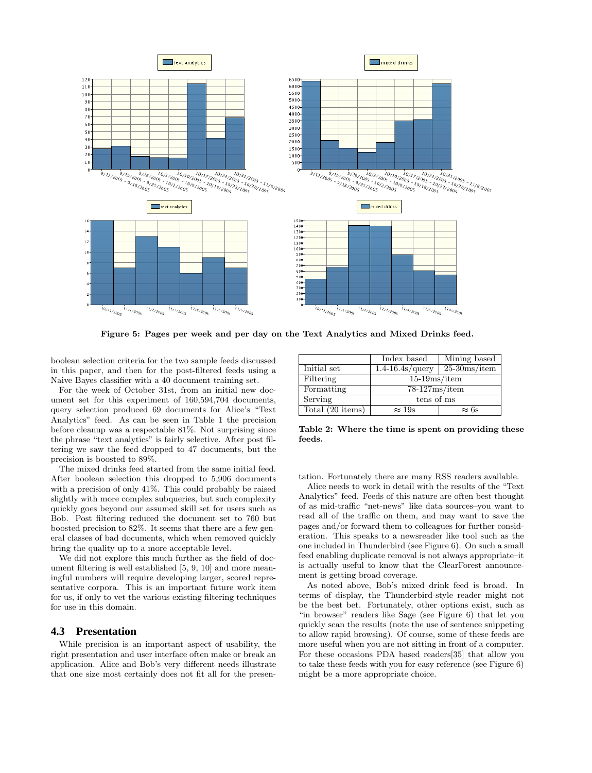

Figure 5: Pages per week and per day on the Text Analytics and Mixed Drinks feed.

boolean selection criteria for the two sample feeds discussed in this paper, and then for the post-filtered feeds using a Naive Bayes classifier with a 40 document training set.

For the week of October 31st, from an initial new document set for this experiment of 160,594,704 documents, query selection produced 69 documents for Alice's "Text Analytics" feed. As can be seen in Table 1 the precision before cleanup was a respectable 81%. Not surprising since the phrase "text analytics" is fairly selective. After post filtering we saw the feed dropped to 47 documents, but the precision is boosted to 89%.

The mixed drinks feed started from the same initial feed. After boolean selection this dropped to 5,906 documents with a precision of only 41%. This could probably be raised slightly with more complex subqueries, but such complexity quickly goes beyond our assumed skill set for users such as Bob. Post filtering reduced the document set to 760 but boosted precision to 82%. It seems that there are a few general classes of bad documents, which when removed quickly bring the quality up to a more acceptable level.

We did not explore this much further as the field of document filtering is well established [5, 9, 10] and more meaningful numbers will require developing larger, scored representative corpora. This is an important future work item for us, if only to vet the various existing filtering techniques for use in this domain.

## **4.3 Presentation**

While precision is an important aspect of usability, the right presentation and user interface often make or break an application. Alice and Bob's very different needs illustrate that one size most certainly does not fit all for the presen-

|                  | Index based          | Mining based   |  |
|------------------|----------------------|----------------|--|
| Initial set      | $1.4 - 16.4$ s/query | $25-30ms/item$ |  |
| Filtering        | $15-19ms/item$       |                |  |
| Formatting       | $78-127ms/item$      |                |  |
| Serving          | tens of ms           |                |  |
| Total (20 items) | $\approx 19$ s       | $\approx 6s$   |  |

Table 2: Where the time is spent on providing these feeds.

tation. Fortunately there are many RSS readers available.

Alice needs to work in detail with the results of the "Text Analytics" feed. Feeds of this nature are often best thought of as mid-traffic "net-news" like data sources–you want to read all of the traffic on them, and may want to save the pages and/or forward them to colleagues for further consideration. This speaks to a newsreader like tool such as the one included in Thunderbird (see Figure 6). On such a small feed enabling duplicate removal is not always appropriate–it is actually useful to know that the ClearForest announcement is getting broad coverage.

As noted above, Bob's mixed drink feed is broad. In terms of display, the Thunderbird-style reader might not be the best bet. Fortunately, other options exist, such as "in browser" readers like Sage (see Figure 6) that let you quickly scan the results (note the use of sentence snippeting to allow rapid browsing). Of course, some of these feeds are more useful when you are not sitting in front of a computer. For these occasions PDA based readers[35] that allow you to take these feeds with you for easy reference (see Figure 6) might be a more appropriate choice.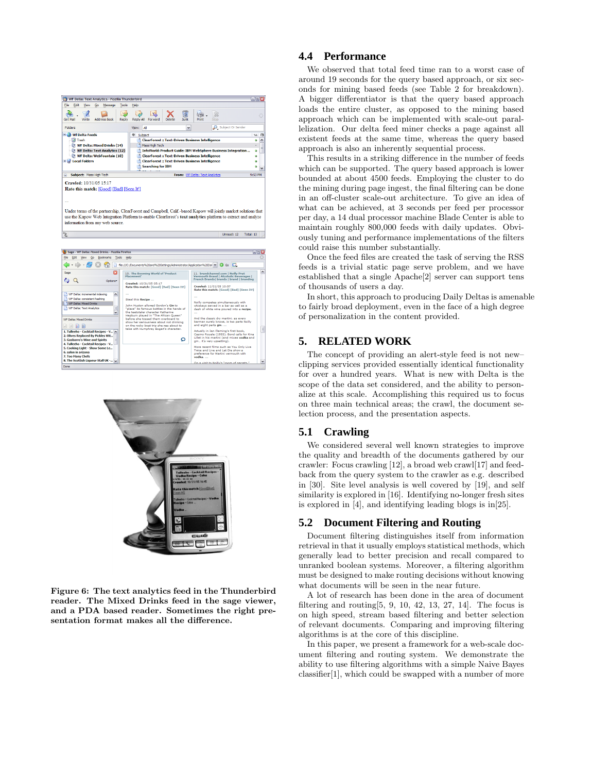



 $\Omega$ 

Figure 6: The text analytics feed in the Thunderbird reader. The Mixed Drinks feed in the sage viewer, and a PDA based reader. Sometimes the right presentation format makes all the difference.

# **4.4 Performance**

We observed that total feed time ran to a worst case of around 19 seconds for the query based approach, or six seconds for mining based feeds (see Table 2 for breakdown). A bigger differentiator is that the query based approach loads the entire cluster, as opposed to the mining based approach which can be implemented with scale-out parallelization. Our delta feed miner checks a page against all existent feeds at the same time, whereas the query based approach is also an inherently sequential process.

This results in a striking difference in the number of feeds which can be supported. The query based approach is lower bounded at about 4500 feeds. Employing the cluster to do the mining during page ingest, the final filtering can be done in an off-cluster scale-out architecture. To give an idea of what can be achieved, at 3 seconds per feed per processor per day, a 14 dual processor machine Blade Center is able to maintain roughly 800,000 feeds with daily updates. Obviously tuning and performance implementations of the filters could raise this number substantially.

Once the feed files are created the task of serving the RSS feeds is a trivial static page serve problem, and we have established that a single Apache[2] server can support tens of thousands of users a day.

In short, this approach to producing Daily Deltas is amenable to fairly broad deployment, even in the face of a high degree of personalization in the content provided.

# **5. RELATED WORK**

The concept of providing an alert-style feed is not new– clipping services provided essentially identical functionality for over a hundred years. What is new with Delta is the scope of the data set considered, and the ability to personalize at this scale. Accomplishing this required us to focus on three main technical areas; the crawl, the document selection process, and the presentation aspects.

# **5.1 Crawling**

We considered several well known strategies to improve the quality and breadth of the documents gathered by our crawler: Focus crawling [12], a broad web crawl[17] and feedback from the query system to the crawler as e.g. described in [30]. Site level analysis is well covered by [19], and self similarity is explored in [16]. Identifying no-longer fresh sites is explored in [4], and identifying leading blogs is in[25].

## **5.2 Document Filtering and Routing**

Document filtering distinguishes itself from information retrieval in that it usually employs statistical methods, which generally lead to better precision and recall compared to unranked boolean systems. Moreover, a filtering algorithm must be designed to make routing decisions without knowing what documents will be seen in the near future.

A lot of research has been done in the area of document filtering and routing $[5, 9, 10, 42, 13, 27, 14]$ . The focus is on high speed, stream based filtering and better selection of relevant documents. Comparing and improving filtering algorithms is at the core of this discipline.

In this paper, we present a framework for a web-scale document filtering and routing system. We demonstrate the ability to use filtering algorithms with a simple Naive Bayes classifier[1], which could be swapped with a number of more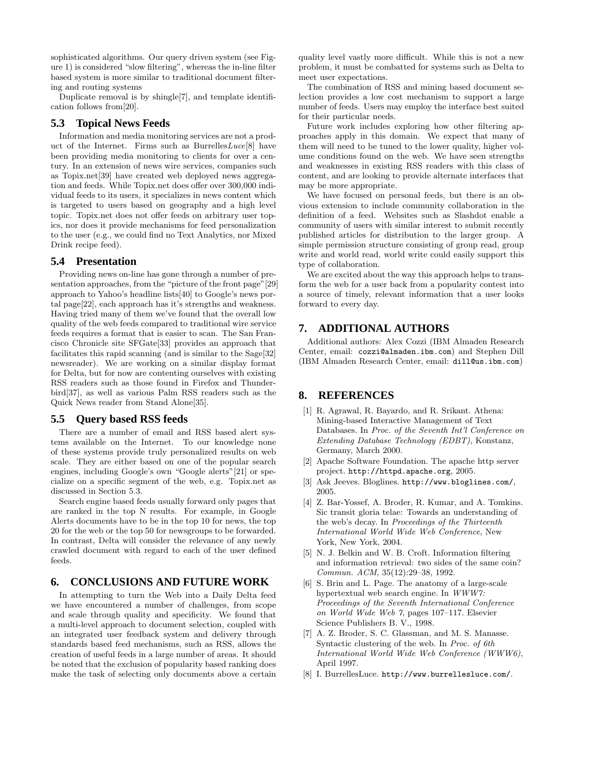sophisticated algorithms. Our query driven system (see Figure 1) is considered "slow filtering", whereas the in-line filter based system is more similar to traditional document filtering and routing systems

Duplicate removal is by shingle[7], and template identification follows from[20].

# **5.3 Topical News Feeds**

Information and media monitoring services are not a product of the Internet. Firms such as Burrelles $Luce[8]$  have been providing media monitoring to clients for over a century. In an extension of news wire services, companies such as Topix.net[39] have created web deployed news aggregation and feeds. While Topix.net does offer over 300,000 individual feeds to its users, it specializes in news content which is targeted to users based on geography and a high level topic. Topix.net does not offer feeds on arbitrary user topics, nor does it provide mechanisms for feed personalization to the user (e.g., we could find no Text Analytics, nor Mixed Drink recipe feed).

## **5.4 Presentation**

Providing news on-line has gone through a number of presentation approaches, from the "picture of the front page"[29] approach to Yahoo's headline lists[40] to Google's news portal page[22], each approach has it's strengths and weakness. Having tried many of them we've found that the overall low quality of the web feeds compared to traditional wire service feeds requires a format that is easier to scan. The San Francisco Chronicle site SFGate[33] provides an approach that facilitates this rapid scanning (and is similar to the Sage[32] newsreader). We are working on a similar display format for Delta, but for now are contenting ourselves with existing RSS readers such as those found in Firefox and Thunderbird[37], as well as various Palm RSS readers such as the Quick News reader from Stand Alone[35].

## **5.5 Query based RSS feeds**

There are a number of email and RSS based alert systems available on the Internet. To our knowledge none of these systems provide truly personalized results on web scale. They are either based on one of the popular search engines, including Google's own "Google alerts"[21] or specialize on a specific segment of the web, e.g. Topix.net as discussed in Section 5.3.

Search engine based feeds usually forward only pages that are ranked in the top N results. For example, in Google Alerts documents have to be in the top 10 for news, the top 20 for the web or the top 50 for newsgroups to be forwarded. In contrast, Delta will consider the relevance of any newly crawled document with regard to each of the user defined feeds.

## **6. CONCLUSIONS AND FUTURE WORK**

In attempting to turn the Web into a Daily Delta feed we have encountered a number of challenges, from scope and scale through quality and specificity. We found that a multi-level approach to document selection, coupled with an integrated user feedback system and delivery through standards based feed mechanisms, such as RSS, allows the creation of useful feeds in a large number of areas. It should be noted that the exclusion of popularity based ranking does make the task of selecting only documents above a certain quality level vastly more difficult. While this is not a new problem, it must be combatted for systems such as Delta to meet user expectations.

The combination of RSS and mining based document selection provides a low cost mechanism to support a large number of feeds. Users may employ the interface best suited for their particular needs.

Future work includes exploring how other filtering approaches apply in this domain. We expect that many of them will need to be tuned to the lower quality, higher volume conditions found on the web. We have seen strengths and weaknesses in existing RSS readers with this class of content, and are looking to provide alternate interfaces that may be more appropriate.

We have focused on personal feeds, but there is an obvious extension to include community collaboration in the definition of a feed. Websites such as Slashdot enable a community of users with similar interest to submit recently published articles for distribution to the larger group. A simple permission structure consisting of group read, group write and world read, world write could easily support this type of collaboration.

We are excited about the way this approach helps to transform the web for a user back from a popularity contest into a source of timely, relevant information that a user looks forward to every day.

## **7. ADDITIONAL AUTHORS**

Additional authors: Alex Cozzi (IBM Almaden Research Center, email: cozzi@almaden.ibm.com) and Stephen Dill (IBM Almaden Research Center, email: dill@us.ibm.com)

# **8. REFERENCES**

- [1] R. Agrawal, R. Bayardo, and R. Srikant. Athena: Mining-based Interactive Management of Text Databases. In Proc. of the Seventh Int'l Conference on Extending Database Technology (EDBT), Konstanz, Germany, March 2000.
- [2] Apache Software Foundation. The apache http server project. http://httpd.apache.org, 2005.
- [3] Ask Jeeves. Bloglines. http://www.bloglines.com/, 2005.
- [4] Z. Bar-Yossef, A. Broder, R. Kumar, and A. Tomkins. Sic transit gloria telae: Towards an understanding of the web's decay. In Proceedings of the Thirteenth International World Wide Web Conference, New York, New York, 2004.
- [5] N. J. Belkin and W. B. Croft. Information filtering and information retrieval: two sides of the same coin? Commun. ACM, 35(12):29–38, 1992.
- [6] S. Brin and L. Page. The anatomy of a large-scale hypertextual web search engine. In WWW7: Proceedings of the Seventh International Conference on World Wide Web 7, pages 107–117. Elsevier Science Publishers B. V., 1998.
- [7] A. Z. Broder, S. C. Glassman, and M. S. Manasse. Syntactic clustering of the web. In Proc. of 6th International World Wide Web Conference (WWW6), April 1997.
- [8] I. BurrellesLuce. http://www.burrellesluce.com/.